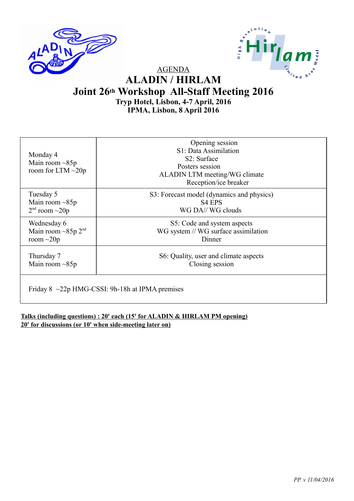



AGENDA

### **ALADIN / HIRLAM Joint 26th Workshop All-Staff Meeting 2016 Tryp Hotel, Lisbon, 4-7 April, 2016 IPMA, Lisbon, 8 April 2016**

| Monday 4<br>Main room $\sim 85p$<br>room for LTM $\sim$ 20p | Opening session<br>S1: Data Assimilation<br>S <sub>2</sub> : Surface<br>Posters session<br>ALADIN LTM meeting/WG climate<br>Reception/ice breaker |
|-------------------------------------------------------------|---------------------------------------------------------------------------------------------------------------------------------------------------|
| Tuesday 5                                                   | S3: Forecast model (dynamics and physics)                                                                                                         |
| Main room $\sim 85p$                                        | S4 EPS                                                                                                                                            |
| $2nd$ room $\sim$ 20p                                       | WG DA//WG clouds                                                                                                                                  |
| Wednesday 6                                                 | S5: Code and system aspects                                                                                                                       |
| Main room $\sim 85p 2^{nd}$                                 | WG system // WG surface assimilation                                                                                                              |
| room $\sim$ 20p                                             | Dinner                                                                                                                                            |
| Thursday 7                                                  | S6: Quality, user and climate aspects                                                                                                             |
| Main room $\sim 85p$                                        | Closing session                                                                                                                                   |
| Friday $8 \sim 22p$ HMG-CSSI: 9h-18h at IPMA premises       |                                                                                                                                                   |

**Talks (including questions) : 20' each (15' for ALADIN & HIRLAM PM opening) 20' for discussions (or 10' when side-meeting later on)**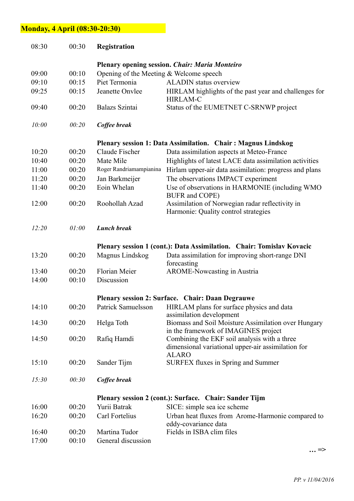## **Monday, 4 April (08:30-20:30)**

| 08:30 | 00:30 | Registration                              |                                                                                                                    |
|-------|-------|-------------------------------------------|--------------------------------------------------------------------------------------------------------------------|
|       |       |                                           | <b>Plenary opening session. Chair: Maria Monteiro</b>                                                              |
| 09:00 | 00:10 | Opening of the Meeting $&$ Welcome speech |                                                                                                                    |
| 09:10 | 00:15 | Piet Termonia                             | <b>ALADIN</b> status overview                                                                                      |
| 09:25 | 00:15 | Jeanette Onvlee                           | HIRLAM highlights of the past year and challenges for<br><b>HIRLAM-C</b>                                           |
| 09:40 | 00:20 | Balazs Szintai                            | Status of the EUMETNET C-SRNWP project                                                                             |
| 10:00 | 00:20 | Coffee break                              |                                                                                                                    |
|       |       |                                           | Plenary session 1: Data Assimilation. Chair: Magnus Lindskog                                                       |
| 10:20 | 00:20 | Claude Fischer                            | Data assimilation aspects at Meteo-France                                                                          |
| 10:40 | 00:20 | Mate Mile                                 | Highlights of latest LACE data assimilation activities                                                             |
| 11:00 | 00:20 | Roger Randriamampianina                   | Hirlam upper-air data assimilation: progress and plans                                                             |
| 11:20 | 00:20 | Jan Barkmeijer                            | The observations IMPACT experiment                                                                                 |
| 11:40 | 00:20 | Eoin Whelan                               | Use of observations in HARMONIE (including WMO<br>BUFR and COPE)                                                   |
| 12:00 | 00:20 | Roohollah Azad                            | Assimilation of Norwegian radar reflectivity in<br>Harmonie: Quality control strategies                            |
| 12:20 | 01:00 | <b>Lunch break</b>                        |                                                                                                                    |
|       |       |                                           | Plenary session 1 (cont.): Data Assimilation. Chair: Tomislav Kovacic                                              |
| 13:20 | 00:20 | Magnus Lindskog                           | Data assimilation for improving short-range DNI<br>forecasting                                                     |
| 13:40 | 00:20 | Florian Meier                             | <b>AROME-Nowcasting in Austria</b>                                                                                 |
| 14:00 | 00:10 | Discussion                                |                                                                                                                    |
|       |       |                                           | Plenary session 2: Surface. Chair: Daan Degrauwe                                                                   |
| 14:10 | 00:20 |                                           | Patrick Samuelsson HIRLAM plans for surface physics and data<br>assimilation development                           |
| 14:30 | 00:20 | Helga Toth                                | Biomass and Soil Moisture Assimilation over Hungary<br>in the framework of IMAGINES project                        |
| 14:50 | 00:20 | Rafiq Hamdi                               | Combining the EKF soil analysis with a three<br>dimensional variational upper-air assimilation for<br><b>ALARO</b> |
| 15:10 | 00:20 | Sander Tijm                               | <b>SURFEX fluxes in Spring and Summer</b>                                                                          |
| 15:30 | 00:30 | Coffee break                              |                                                                                                                    |
|       |       |                                           | Plenary session 2 (cont.): Surface. Chair: Sander Tijm                                                             |
| 16:00 | 00:20 | Yurii Batrak                              | SICE: simple sea ice scheme                                                                                        |
| 16:20 | 00:20 | Carl Fortelius                            | Urban heat fluxes from Arome-Harmonie compared to<br>eddy-covariance data                                          |
| 16:40 | 00:20 | Martina Tudor                             | Fields in ISBA clim files                                                                                          |
| 17:00 | 00:10 | General discussion                        |                                                                                                                    |

**… =>**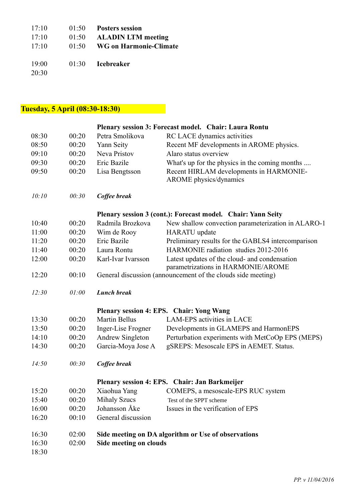| 17:10 | 01:50 | <b>Posters session</b>    |
|-------|-------|---------------------------|
| 17:10 | 01:50 | <b>ALADIN LTM meeting</b> |
| 17:10 | 01:50 | WG on Harmonie-Climate    |
|       |       |                           |
| 19:00 |       | 01:30 Icebreaker          |
| 20:30 |       |                           |

# **Tuesday, 5 April (08:30-18:30)**

| Plenary session 3: Forecast model. Chair: Laura Rontu |                                               |                        |                                                                                     |  |
|-------------------------------------------------------|-----------------------------------------------|------------------------|-------------------------------------------------------------------------------------|--|
| 08:30                                                 | 00:20                                         | Petra Smolikova        | RC LACE dynamics activities                                                         |  |
| 08:50                                                 | 00:20                                         | Yann Seity             | Recent MF developments in AROME physics.                                            |  |
| 09:10                                                 | 00:20                                         | Neva Pristov           | Alaro status overview                                                               |  |
| 09:30                                                 | 00:20                                         | Eric Bazile            | What's up for the physics in the coming months                                      |  |
| 09:50                                                 | 00:20                                         | Lisa Bengtsson         | Recent HIRLAM developments in HARMONIE-<br><b>AROME</b> physics/dynamics            |  |
| 10:10                                                 | 00:30                                         | Coffee break           |                                                                                     |  |
|                                                       |                                               |                        | Plenary session 3 (cont.): Forecast model. Chair: Yann Seity                        |  |
| 10:40                                                 | 00:20                                         | Radmila Brozkova       | New shallow convection parameterization in ALARO-1                                  |  |
| 11:00                                                 | 00:20                                         | Wim de Rooy            | <b>HARATU</b> update                                                                |  |
| 11:20                                                 | 00:20                                         | Eric Bazile            | Preliminary results for the GABLS4 intercomparison                                  |  |
| 11:40                                                 | 00:20                                         | Laura Rontu            | HARMONIE radiation studies 2012-2016                                                |  |
| 12:00                                                 | 00:20                                         | Karl-Ivar Ivarsson     | Latest updates of the cloud- and condensation<br>parametrizations in HARMONIE/AROME |  |
| 12:20                                                 | 00:10                                         |                        | General discussion (announcement of the clouds side meeting)                        |  |
| 12:30                                                 | 01:00                                         | <b>Lunch break</b>     |                                                                                     |  |
|                                                       |                                               |                        | Plenary session 4: EPS. Chair: Yong Wang                                            |  |
| 13:30                                                 | 00:20                                         | <b>Martin Bellus</b>   | <b>LAM-EPS</b> activities in LACE                                                   |  |
| 13:50                                                 | 00:20                                         | Inger-Lise Frogner     | Developments in GLAMEPS and HarmonEPS                                               |  |
| 14:10                                                 | 00:20                                         | Andrew Singleton       | Perturbation experiments with MetCoOp EPS (MEPS)                                    |  |
| 14:30                                                 | 00:20                                         | Garcia-Moya Jose A     | gSREPS: Mesoscale EPS in AEMET. Status.                                             |  |
| 14:50                                                 | 00:30                                         | Coffee break           |                                                                                     |  |
|                                                       | Plenary session 4: EPS. Chair: Jan Barkmeijer |                        |                                                                                     |  |
| 15:20                                                 | 00:20                                         |                        | Xiaohua Yang COMEPS, a mesoscale-EPS RUC system                                     |  |
| 15:40                                                 | 00:20                                         | <b>Mihaly Szucs</b>    | Test of the SPPT scheme                                                             |  |
| 16:00                                                 | 00:20                                         | Johansson Åke          | Issues in the verification of EPS                                                   |  |
| 16:20                                                 | 00:10                                         | General discussion     |                                                                                     |  |
| 16:30                                                 | 02:00                                         |                        | Side meeting on DA algorithm or Use of observations                                 |  |
| 16:30                                                 | 02:00                                         | Side meeting on clouds |                                                                                     |  |
| 18:30                                                 |                                               |                        |                                                                                     |  |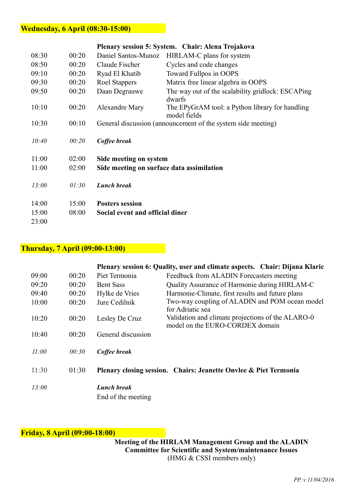#### **Wednesday, 6 April (08:30-15:00)**

| Plenary session 5: System. Chair: Alena Trojakova |       |                                           |                                                                 |  |
|---------------------------------------------------|-------|-------------------------------------------|-----------------------------------------------------------------|--|
| 08:30                                             | 00:20 | Daniel Santos-Munoz                       | HIRLAM-C plans for system                                       |  |
| 08:50                                             | 00:20 | Claude Fischer                            | Cycles and code changes                                         |  |
| 09:10                                             | 00:20 | Ryad El Khatib                            | Toward Fullpos in OOPS                                          |  |
| 09:30                                             | 00:20 | Roel Stappers                             | Matrix free linear algebra in OOPS                              |  |
| 09:50                                             | 00:20 | Daan Degrauwe                             | The way out of the scalability gridlock: ESCAPing<br>dwarfs     |  |
| 10:10                                             | 00:20 | Alexandre Mary                            | The EPyGrAM tool: a Python library for handling<br>model fields |  |
| 10:30                                             | 00:10 |                                           | General discussion (announcement of the system side meeting)    |  |
| 10:40                                             | 00:20 | Coffee break                              |                                                                 |  |
| 11:00                                             | 02:00 | Side meeting on system                    |                                                                 |  |
| 11:00                                             | 02:00 | Side meeting on surface data assimilation |                                                                 |  |
|                                                   |       |                                           |                                                                 |  |
| 13:00                                             | 01:30 | <b>Lunch break</b>                        |                                                                 |  |
|                                                   |       |                                           |                                                                 |  |
| 14:00                                             | 15:00 | <b>Posters session</b>                    |                                                                 |  |
| 15:00                                             | 08:00 | Social event and official diner           |                                                                 |  |
| 23:00                                             |       |                                           |                                                                 |  |

### **Thursday, 7 April (09:00-13:00)**

|       |       |                                          | Plenary session 6: Quality, user and climate aspects. Chair: Dijana Klaric           |
|-------|-------|------------------------------------------|--------------------------------------------------------------------------------------|
| 09:00 | 00:20 | Piet Termonia                            | Feedback from ALADIN Forecasters meeting                                             |
| 09:20 | 00:20 | <b>Bent Sass</b>                         | Quality Assurance of Harmonie during HIRLAM-C                                        |
| 09:40 | 00:20 | Hylke de Vries                           | Harmonie-Climate, first results and future plans                                     |
| 10:00 | 00:20 | Jure Cedilnik                            | Two-way coupling of ALADIN and POM ocean model<br>for Adriatic sea                   |
| 10:20 | 00:20 | Lesley De Cruz                           | Validation and climate projections of the ALARO-0<br>model on the EURO-CORDEX domain |
| 10:40 | 00:20 | General discussion                       |                                                                                      |
| 11:00 | 00:30 | Coffee break                             |                                                                                      |
| 11:30 | 01:30 |                                          | Plenary closing session. Chairs: Jeanette Onvlee & Piet Termonia                     |
| 13:00 |       | <b>Lunch break</b><br>End of the meeting |                                                                                      |

#### **Friday, 8 April (09:00-18:00)**

(HMG & CSSI members only) **Meeting of the HIRLAM Management Group and the ALADIN Committee for Scientific and System/maintenance Issues**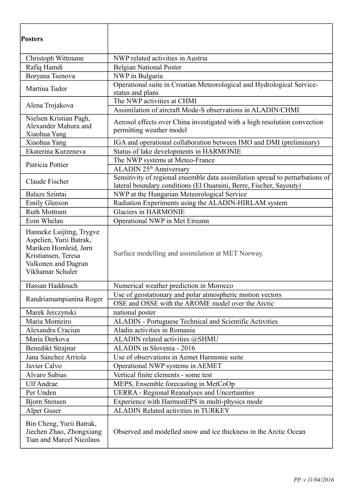| <b>Posters</b>                                                                                                                                 |                                                                                                                                                     |  |  |
|------------------------------------------------------------------------------------------------------------------------------------------------|-----------------------------------------------------------------------------------------------------------------------------------------------------|--|--|
| Christoph Wittmann                                                                                                                             | NWP related activities in Austria                                                                                                                   |  |  |
| Rafiq Hamdi                                                                                                                                    | <b>Belgian National Poster</b>                                                                                                                      |  |  |
| Boryana Tsenova                                                                                                                                | NWP in Bulgaria                                                                                                                                     |  |  |
| Martina Tudor                                                                                                                                  | Operational suite in Croatian Meteorological and Hydrological Service-<br>status and plans                                                          |  |  |
| Alena Trojakova                                                                                                                                | The NWP activities at CHMI<br>Assimilation of aircraft Mode-S observations in ALADIN/CHMI                                                           |  |  |
| Nielsen Kristian Pagh,<br>Alexander Mahura and<br>Xiaohua Yang                                                                                 | Aerosol effects over China investigated with a high resolution convection<br>permitting weather model                                               |  |  |
| Xiaohua Yang                                                                                                                                   | IGA and operational collaboration between IMO and DMI (preliminary)                                                                                 |  |  |
| Ekaterina Kurzeneva                                                                                                                            | Status of lake developments in HARMONIE                                                                                                             |  |  |
| Patricia Pottier                                                                                                                               | The NWP systems at Meteo-France                                                                                                                     |  |  |
|                                                                                                                                                | ALADIN 25 <sup>th</sup> Anniversary                                                                                                                 |  |  |
| Claude Fischer                                                                                                                                 | Sensitivity of regional ensemble data assimilation spread to perturbations of<br>lateral boundary conditions (El Ouaraini, Berre, Fischer, Sayouty) |  |  |
| Balazs Szintai                                                                                                                                 | NWP at the Hungarian Meteorological Service                                                                                                         |  |  |
| <b>Emily Gleeson</b>                                                                                                                           | Radiation Experiments using the ALADIN-HIRLAM system                                                                                                |  |  |
| Ruth Mottram                                                                                                                                   | <b>Glaciers in HARMONIE</b>                                                                                                                         |  |  |
| Eoin Whelan                                                                                                                                    | Operational NWP in Met Eireann                                                                                                                      |  |  |
| Hanneke Luijting, Trygve<br>Aspelien, Yurii Batrak,<br>Mariken Homleid, Jørn<br>Kristiansen, Teresa<br>Valkonen and Dagrun<br>Vikhamar Schuler | Surface modelling and assimilation at MET Norway.                                                                                                   |  |  |
| Hassan Haddouch                                                                                                                                | Numerical weather prediction in Morocco                                                                                                             |  |  |
|                                                                                                                                                | Use of geostationary and polar atmospheric motion vectors                                                                                           |  |  |
| Randriamampianina Roger                                                                                                                        | OSE and OSSE with the AROME model over the Arctic                                                                                                   |  |  |
| Marek Jerczynski                                                                                                                               | national poster                                                                                                                                     |  |  |
| Maria Monteiro                                                                                                                                 | ALADIN - Portuguese Technical and Scientific Activities                                                                                             |  |  |
| Alexandra Craciun                                                                                                                              | Aladin activities in Romania                                                                                                                        |  |  |
| Maria Derkova                                                                                                                                  | ALADIN related activities @SHMU                                                                                                                     |  |  |
| Benedikt Strajnar                                                                                                                              | ALADIN in Slovenia - 2016                                                                                                                           |  |  |
| Jana Sanchez Arriola                                                                                                                           | Use of observations in Aemet Harmonie suite                                                                                                         |  |  |
| Javier Calvo                                                                                                                                   | Operational NWP systems in AEMET                                                                                                                    |  |  |
| Alvaro Subias                                                                                                                                  | Vertical finite elements - some test                                                                                                                |  |  |
| <b>Ulf Andrae</b>                                                                                                                              | MEPS, Ensemble forecasting in MetCoOp                                                                                                               |  |  |
| Per Unden                                                                                                                                      | <b>UERRA</b> - Regional Reanalyses and Uncertainties                                                                                                |  |  |
| <b>Bjorn Stensen</b>                                                                                                                           | Experience with HarmonEPS in multi-physics mode                                                                                                     |  |  |
| Alper Guser                                                                                                                                    | <b>ALADIN Related activities in TURKEY</b>                                                                                                          |  |  |
| Bin Cheng, Yurii Batrak,<br>Jiechen Zhao, Zhongxiang<br><b>Tian and Marcel Nicolaus</b>                                                        | Observed and modelled snow and ice thickness in the Arctic Ocean                                                                                    |  |  |